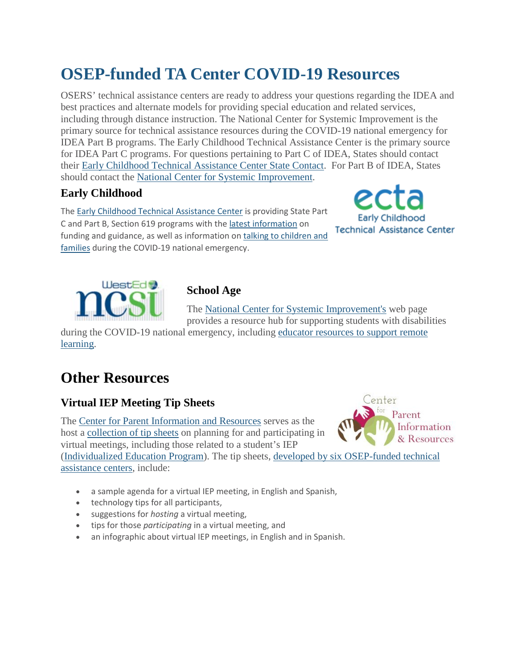# **OSEP-funded TA Center COVID-19 Resources**

OSERS' technical assistance centers are ready to address your questions regarding the IDEA and best practices and alternate models for providing special education and related services, including through distance instruction. The National Center for Systemic Improvement is the primary source for technical assistance resources during the COVID-19 national emergency for IDEA Part B programs. The Early Childhood Technical Assistance Center is the primary source for IDEA Part C programs. For questions pertaining to Part C of IDEA, States should contact their [Early Childhood Technical Assistance Center State Contact.](https://protect-us.mimecast.com/s/0U5gCo20zNhlY6g1C1LjTq1?domain=lnks.gd) For Part B of IDEA, States should contact the [National Center for Systemic Improvement.](https://protect-us.mimecast.com/s/eiPjCpYqAOfQopVJhPzeAlx?domain=lnks.gd)

#### **Early Childhood**

The [Early Childhood Technical Assistance Center](https://protect-us.mimecast.com/s/Q3RvCqxrBPFLNJExHZVU4kb?domain=lnks.gd) is providing State Part C and Part B, Section 619 programs with th[e latest information](https://protect-us.mimecast.com/s/T4GVCrkvDQuwZ4kzu7XesPr?domain=lnks.gd) on funding and guidance, as well as information on talking to children and [families](https://protect-us.mimecast.com/s/vgVjCv2z0XhO8rYPsX31JOl?domain=lnks.gd) during the COVID-19 national emergency.





### **School Age**

The [National Center for Systemic Improvement's](https://protect-us.mimecast.com/s/FEmaCxkBMZumvP7guvvaSXL?domain=lnks.gd) web page provides a resource hub for supporting students with disabilities

during the COVID-19 national emergency, including [educator resources to support remote](https://protect-us.mimecast.com/s/uwqwCyPDN1I6oA8QuMQiCxV?domain=lnks.gd)  [learning.](https://protect-us.mimecast.com/s/uwqwCyPDN1I6oA8QuMQiCxV?domain=lnks.gd)

# **Other Resources**

## **Virtual IEP Meeting Tip Sheets**

The [Center for Parent Information and Resources](https://protect-us.mimecast.com/s/r0e3CzpEO2F8qOkyiXKvUt1?domain=lnks.gd) serves as the host a [collection of tip sheets](https://protect-us.mimecast.com/s/dec_CAD2ZJIrOGwPs8QnsLF?domain=lnks.gd) on planning for and participating in virtual meetings, including those related to a student's IEP [\(Individualized Education Program\)](https://protect-us.mimecast.com/s/NARvCBB2ZKFPKzwkc61f2CQ?domain=lnks.gd). The tip sheets, [developed by six OSEP-funded technical](https://protect-us.mimecast.com/s/iea5CDk2jMujADEWC5RiRKX?domain=lnks.gd) 



[assistance centers,](https://protect-us.mimecast.com/s/iea5CDk2jMujADEWC5RiRKX?domain=lnks.gd) include:

- a sample agenda for a virtual IEP meeting, in English and Spanish,
- technology tips for all participants,
- suggestions for *hosting* a virtual meeting,
- tips for those *participating* in a virtual meeting, and
- an infographic about virtual IEP meetings, in English and in Spanish.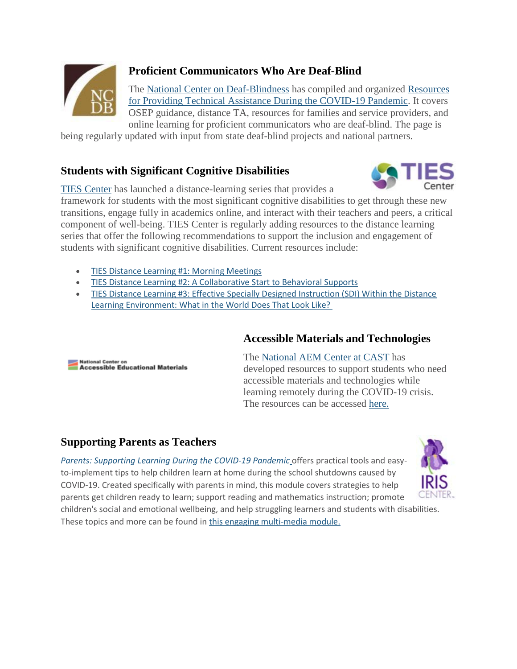

# **Proficient Communicators Who Are Deaf-Blind**

The [National Center on Deaf-Blindness](https://protect-us.mimecast.com/s/WvLeCER2kNI1xkvzcwx2ePR?domain=lnks.gd) has compiled and organized [Resources](https://protect-us.mimecast.com/s/7YtKCG62mPTW42DPu7rh42f?domain=lnks.gd)  [for Providing Technical Assistance During the COVID-19 Pandemic.](https://protect-us.mimecast.com/s/7YtKCG62mPTW42DPu7rh42f?domain=lnks.gd) It covers OSEP guidance, distance TA, resources for families and service providers, and online learning for proficient communicators who are deaf-blind. The page is

being regularly updated with input from state deaf-blind projects and national partners.

#### **Students with Significant Cognitive Disabilities**



[TIES Center](https://protect-us.mimecast.com/s/fD-0CJ62pVTpwg62TGKUVzb?domain=lnks.gd) has launched a distance-learning series that provides a

framework for students with the most significant cognitive disabilities to get through these new transitions, engage fully in academics online, and interact with their teachers and peers, a critical component of well-being. TIES Center is regularly adding resources to the distance learning series that offer the following recommendations to support the inclusion and engagement of students with significant cognitive disabilities. Current resources include:

- [TIES Distance Learning #1: Morning Meetings](https://protect-us.mimecast.com/s/MmXNCKr2qWI8WZXYivksqvh?domain=lnks.gd)
- [TIES Distance Learning #2: A Collaborative Start to Behavioral Supports](https://protect-us.mimecast.com/s/Js1dCL92rXHN9lGgFqY5Ntg?domain=lnks.gd)
- [TIES Distance Learning #3: Effective Specially Designed Instruction \(SDI\) Within the Distance](https://protect-us.mimecast.com/s/ciZdCM82vYFx3vwLSkqDaAJ?domain=lnks.gd)  [Learning Environment: What in the World Does That Look Like?](https://protect-us.mimecast.com/s/ciZdCM82vYFx3vwLSkqDaAJ?domain=lnks.gd)

#### **Accessible Materials and Technologies**

**National Center on Accessible Educational Materials**  The [National AEM Center at CAST](https://protect-us.mimecast.com/s/5CnpCv2z0XhO8rYPsXZrAlW?domain=lnks.gd) has developed resources to support students who need accessible materials and technologies while learning remotely during the COVID-19 crisis. The resources can be accessed [here.](https://protect-us.mimecast.com/s/yovgCwpALYF0xgq4hqB2WKL?domain=lnks.gd)

#### **Supporting Parents as Teachers**

*[Parents: Supporting Learning During the COVID-19 Pandemic](https://protect-us.mimecast.com/s/WhtcCxkBMZumvP7guv3MLog?domain=lnks.gd)* offers practical tools and easyto-implement tips to help children learn at home during the school shutdowns caused by COVID-19. Created specifically with parents in mind, this module covers strategies to help parents get children ready to learn; support reading and mathematics instruction; promote



children's social and emotional wellbeing, and help struggling learners and students with disabilities. These topics and more can be found i[n this engaging multi-media module.](https://protect-us.mimecast.com/s/L9e4CyPDN1I6oA8QuMrVMhX?domain=lnks.gd)